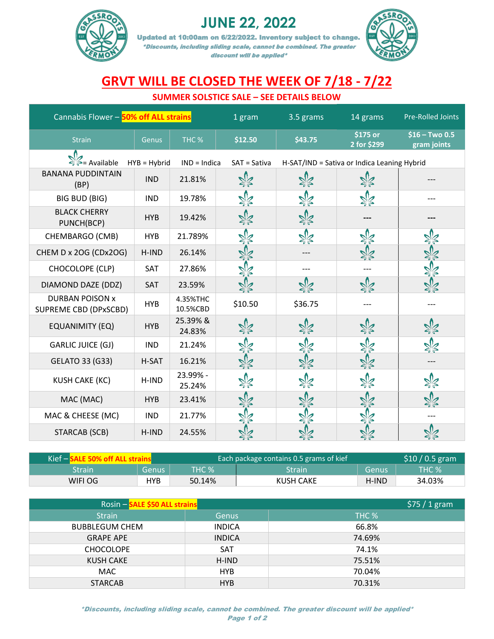

## **JUNE 22, 2022**

Updated at 10:00am on 6/22/2022. Inventory subject to change. \*Discounts, including sliding scale, cannot be combined. The greater discount will be applied\*



## **GRVT WILL BE CLOSED THE WEEK OF 7/18 - 7/22**

## **SUMMER SOLSTICE SALE – SEE DETAILS BELOW**

| Cannabis Flower - 50% off ALL strains           |            |                      | 1 gram       | 3.5 grams                                   | 14 grams                | <b>Pre-Rolled Joints</b>       |
|-------------------------------------------------|------------|----------------------|--------------|---------------------------------------------|-------------------------|--------------------------------|
| <b>Strain</b>                                   | Genus      | THC <sub>%</sub>     | \$12.50      | \$43.75                                     | \$175 or<br>2 for \$299 | $$16 - Two 0.5$<br>gram joints |
| ∛ = Available<br>$HYB = Hybrid$                 |            | $IND = Indica$       | SAT = Sativa | H-SAT/IND = Sativa or Indica Leaning Hybrid |                         |                                |
| <b>BANANA PUDDINTAIN</b><br>(BP)                | <b>IND</b> | 21.81%               |              |                                             |                         |                                |
| <b>BIG BUD (BIG)</b>                            | <b>IND</b> | 19.78%               |              |                                             |                         |                                |
| <b>BLACK CHERRY</b><br>PUNCH(BCP)               | <b>HYB</b> | 19.42%               |              |                                             |                         |                                |
| CHEMBARGO (CMB)                                 | <b>HYB</b> | 21.789%              |              | ৠৢ৴                                         |                         |                                |
| CHEM D x 2OG (CDx2OG)                           | H-IND      | 26.14%               |              |                                             |                         |                                |
| CHOCOLOPE (CLP)                                 | SAT        | 27.86%               |              |                                             |                         |                                |
| DIAMOND DAZE (DDZ)                              | SAT        | 23.59%               |              |                                             |                         |                                |
| <b>DURBAN POISON x</b><br>SUPREME CBD (DPxSCBD) | <b>HYB</b> | 4.35%THC<br>10.5%CBD | \$10.50      | \$36.75                                     |                         |                                |
| <b>EQUANIMITY (EQ)</b>                          | <b>HYB</b> | 25.39% &<br>24.83%   | ≵র           | ≵≰                                          | ঽৢ৴                     |                                |
| <b>GARLIC JUICE (GJ)</b>                        | <b>IND</b> | 21.24%               |              |                                             |                         |                                |
| <b>GELATO 33 (G33)</b>                          | H-SAT      | 16.21%               |              | DZ.                                         | ≵દ્                     |                                |
| <b>KUSH CAKE (KC)</b>                           | H-IND      | 23.99% -<br>25.24%   | ঽ৶           |                                             |                         |                                |
| MAC (MAC)                                       | <b>HYB</b> | 23.41%               |              |                                             |                         |                                |
| MAC & CHEESE (MC)                               | <b>IND</b> | 21.77%               |              |                                             |                         |                                |
| <b>STARCAB (SCB)</b>                            | H-IND      | 24.55%               |              |                                             |                         | 92                             |

| Kief $-$ |            |              | Each package contains 0.5 grams of kief |       | $$10/0.5$ gram |
|----------|------------|--------------|-----------------------------------------|-------|----------------|
| Strain'  | 'Genusi    | <b>THC %</b> | Strain                                  | Genus | <b>THC %</b>   |
| WIFI OG  | <b>HYB</b> | 50.14%       | KUSH CAKE                               | H-IND | 34.03%         |

| Rosin - SALE \$50 ALL strains |               | $$75/1$ gram |
|-------------------------------|---------------|--------------|
| <b>Strain</b>                 | <b>Genus</b>  | THC %        |
| <b>BUBBLEGUM CHEM</b>         | <b>INDICA</b> | 66.8%        |
| <b>GRAPE APE</b>              | <b>INDICA</b> | 74.69%       |
| <b>CHOCOLOPE</b>              | <b>SAT</b>    | 74.1%        |
| <b>KUSH CAKE</b>              | H-IND         | 75.51%       |
| MAC                           | <b>HYB</b>    | 70.04%       |
| <b>STARCAB</b>                | <b>HYB</b>    | 70.31%       |